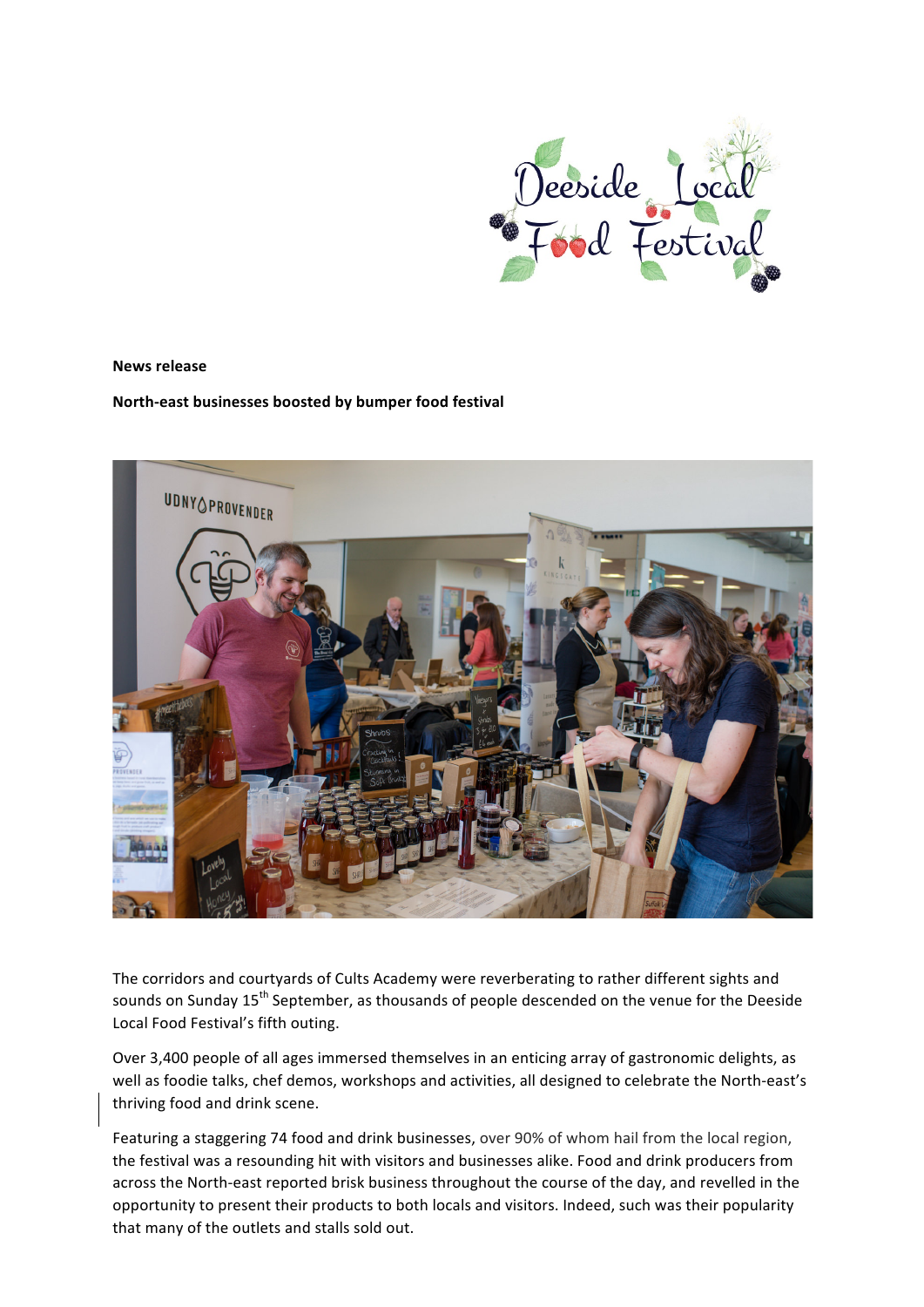

#### **News release**

# North-east businesses boosted by bumper food festival



The corridors and courtyards of Cults Academy were reverberating to rather different sights and sounds on Sunday 15<sup>th</sup> September, as thousands of people descended on the venue for the Deeside Local Food Festival's fifth outing.

Over 3,400 people of all ages immersed themselves in an enticing array of gastronomic delights, as well as foodie talks, chef demos, workshops and activities, all designed to celebrate the North-east's thriving food and drink scene.

Featuring a staggering 74 food and drink businesses, over 90% of whom hail from the local region, the festival was a resounding hit with visitors and businesses alike. Food and drink producers from across the North-east reported brisk business throughout the course of the day, and revelled in the opportunity to present their products to both locals and visitors. Indeed, such was their popularity that many of the outlets and stalls sold out.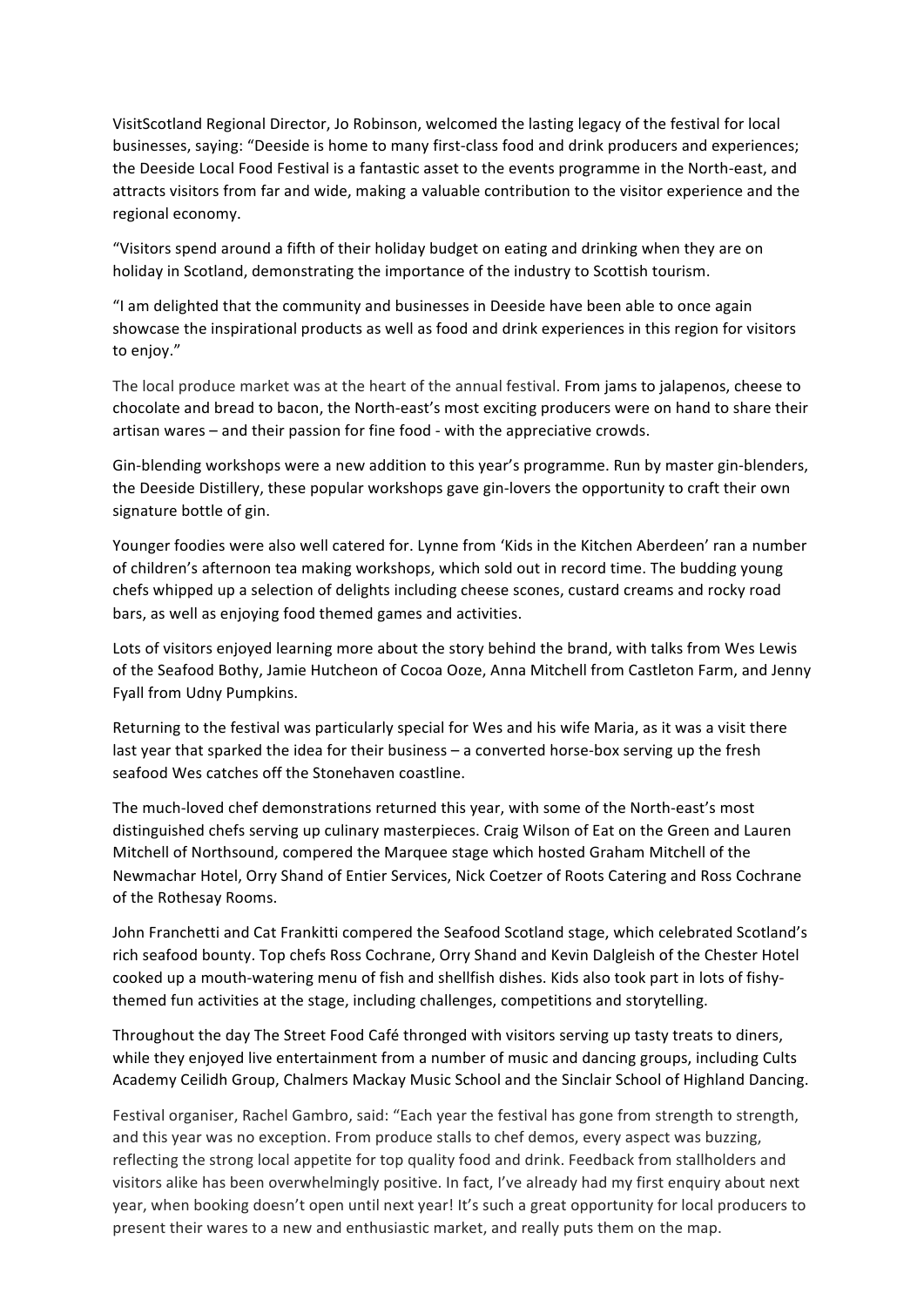VisitScotland Regional Director, Jo Robinson, welcomed the lasting legacy of the festival for local businesses, saying: "Deeside is home to many first-class food and drink producers and experiences; the Deeside Local Food Festival is a fantastic asset to the events programme in the North-east, and attracts visitors from far and wide, making a valuable contribution to the visitor experience and the regional economy.

"Visitors spend around a fifth of their holiday budget on eating and drinking when they are on holiday in Scotland, demonstrating the importance of the industry to Scottish tourism.

"I am delighted that the community and businesses in Deeside have been able to once again showcase the inspirational products as well as food and drink experiences in this region for visitors to enjoy."

The local produce market was at the heart of the annual festival. From jams to jalapenos, cheese to chocolate and bread to bacon, the North-east's most exciting producers were on hand to share their artisan wares – and their passion for fine food - with the appreciative crowds.

Gin-blending workshops were a new addition to this year's programme. Run by master gin-blenders, the Deeside Distillery, these popular workshops gave gin-lovers the opportunity to craft their own signature bottle of gin.

Younger foodies were also well catered for. Lynne from 'Kids in the Kitchen Aberdeen' ran a number of children's afternoon tea making workshops, which sold out in record time. The budding young chefs whipped up a selection of delights including cheese scones, custard creams and rocky road bars, as well as enjoying food themed games and activities.

Lots of visitors enjoyed learning more about the story behind the brand, with talks from Wes Lewis of the Seafood Bothy, Jamie Hutcheon of Cocoa Ooze, Anna Mitchell from Castleton Farm, and Jenny Fyall from Udny Pumpkins.

Returning to the festival was particularly special for Wes and his wife Maria, as it was a visit there last year that sparked the idea for their business – a converted horse-box serving up the fresh seafood Wes catches off the Stonehaven coastline.

The much-loved chef demonstrations returned this year, with some of the North-east's most distinguished chefs serving up culinary masterpieces. Craig Wilson of Eat on the Green and Lauren Mitchell of Northsound, compered the Marquee stage which hosted Graham Mitchell of the Newmachar Hotel, Orry Shand of Entier Services, Nick Coetzer of Roots Catering and Ross Cochrane of the Rothesay Rooms.

John Franchetti and Cat Frankitti compered the Seafood Scotland stage, which celebrated Scotland's rich seafood bounty. Top chefs Ross Cochrane, Orry Shand and Kevin Dalgleish of the Chester Hotel cooked up a mouth-watering menu of fish and shellfish dishes. Kids also took part in lots of fishythemed fun activities at the stage, including challenges, competitions and storytelling.

Throughout the day The Street Food Café thronged with visitors serving up tasty treats to diners, while they enjoyed live entertainment from a number of music and dancing groups, including Cults Academy Ceilidh Group, Chalmers Mackay Music School and the Sinclair School of Highland Dancing.

Festival organiser, Rachel Gambro, said: "Each year the festival has gone from strength to strength, and this year was no exception. From produce stalls to chef demos, every aspect was buzzing, reflecting the strong local appetite for top quality food and drink. Feedback from stallholders and visitors alike has been overwhelmingly positive. In fact, I've already had my first enquiry about next year, when booking doesn't open until next year! It's such a great opportunity for local producers to present their wares to a new and enthusiastic market, and really puts them on the map.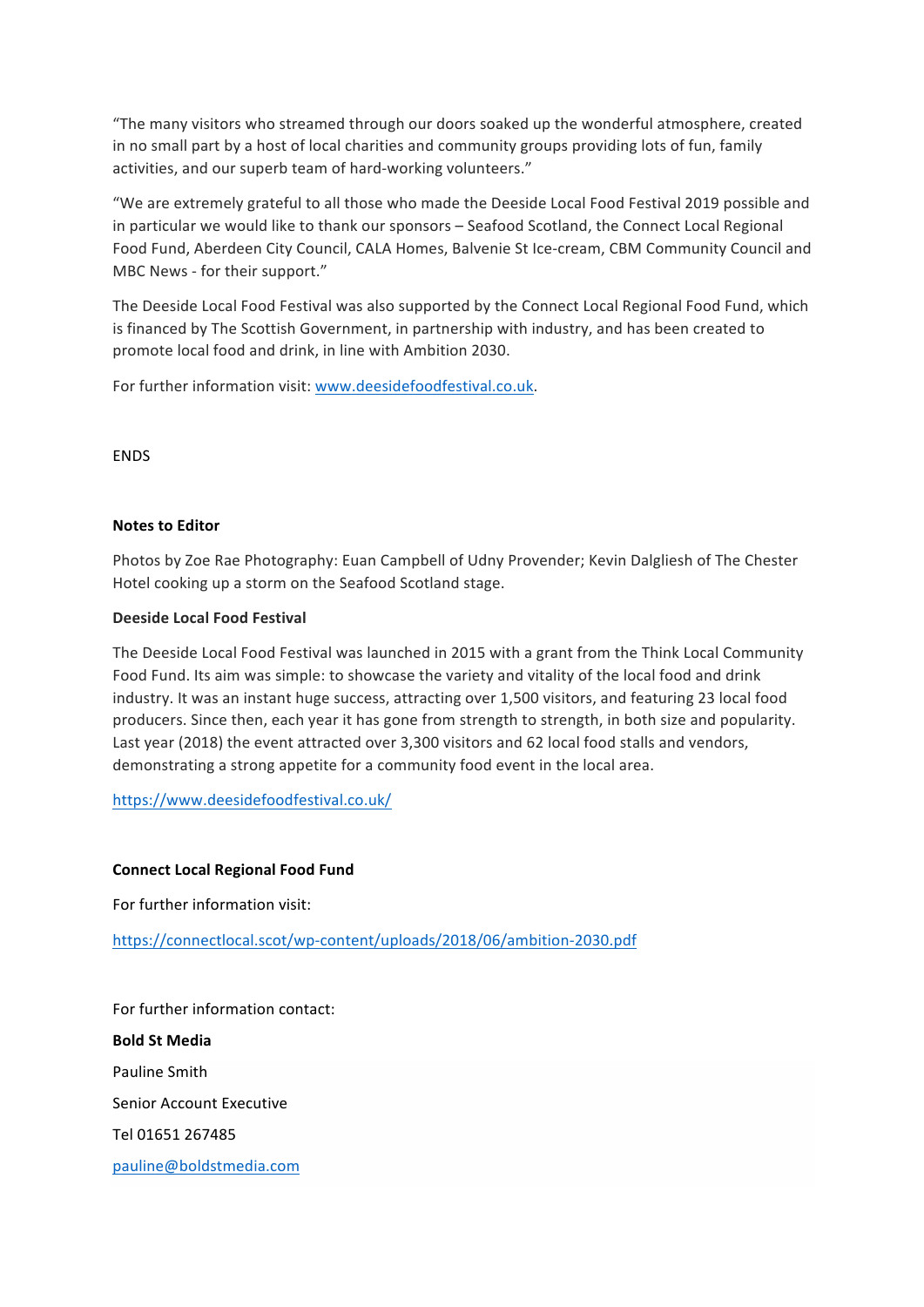"The many visitors who streamed through our doors soaked up the wonderful atmosphere, created in no small part by a host of local charities and community groups providing lots of fun, family activities, and our superb team of hard-working volunteers."

"We are extremely grateful to all those who made the Deeside Local Food Festival 2019 possible and in particular we would like to thank our sponsors - Seafood Scotland, the Connect Local Regional Food Fund, Aberdeen City Council, CALA Homes, Balvenie St Ice-cream, CBM Community Council and MBC News - for their support."

The Deeside Local Food Festival was also supported by the Connect Local Regional Food Fund, which is financed by The Scottish Government, in partnership with industry, and has been created to promote local food and drink, in line with Ambition 2030.

For further information visit: www.deesidefoodfestival.co.uk.

**FNDS** 

# **Notes to Editor**

Photos by Zoe Rae Photography: Euan Campbell of Udny Provender; Kevin Dalgliesh of The Chester Hotel cooking up a storm on the Seafood Scotland stage.

# **Deeside Local Food Festival**

The Deeside Local Food Festival was launched in 2015 with a grant from the Think Local Community Food Fund. Its aim was simple: to showcase the variety and vitality of the local food and drink industry. It was an instant huge success, attracting over 1,500 visitors, and featuring 23 local food producers. Since then, each year it has gone from strength to strength, in both size and popularity. Last year (2018) the event attracted over 3,300 visitors and 62 local food stalls and vendors, demonstrating a strong appetite for a community food event in the local area.

https://www.deesidefoodfestival.co.uk/

#### **Connect Local Regional Food Fund**

For further information visit:

https://connectlocal.scot/wp-content/uploads/2018/06/ambition-2030.pdf

For further information contact: **Bold St Media**  Pauline Smith Senior Account Executive Tel 01651 267485 pauline@boldstmedia.com